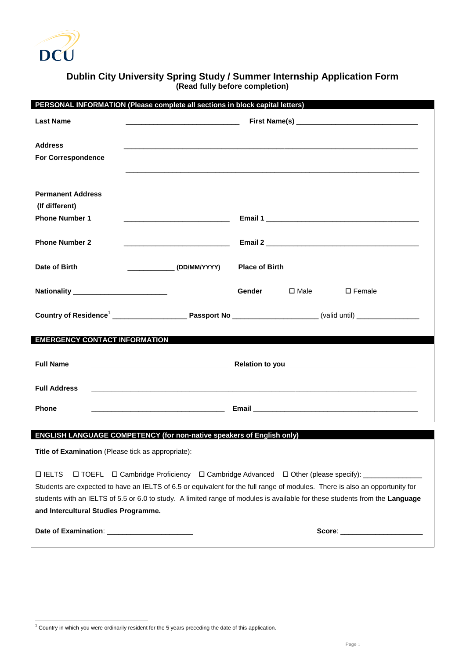

## **Dublin City University Spring Study / Summer Internship Application Form (Read fully before completion)**

| PERSONAL INFORMATION (Please complete all sections in block capital letters) |                                                                                                                             |
|------------------------------------------------------------------------------|-----------------------------------------------------------------------------------------------------------------------------|
| <b>Last Name</b>                                                             |                                                                                                                             |
|                                                                              |                                                                                                                             |
| <b>Address</b>                                                               |                                                                                                                             |
| <b>For Correspondence</b>                                                    |                                                                                                                             |
|                                                                              |                                                                                                                             |
| <b>Permanent Address</b>                                                     |                                                                                                                             |
| (If different)                                                               |                                                                                                                             |
| <b>Phone Number 1</b>                                                        |                                                                                                                             |
|                                                                              |                                                                                                                             |
| <b>Phone Number 2</b>                                                        |                                                                                                                             |
|                                                                              |                                                                                                                             |
| Date of Birth                                                                |                                                                                                                             |
| <b>Nationality Nationality</b>                                               | Gender<br>$\square$ Male<br>$\square$ Female                                                                                |
|                                                                              |                                                                                                                             |
|                                                                              |                                                                                                                             |
|                                                                              |                                                                                                                             |
| <b>EMERGENCY CONTACT INFORMATION</b>                                         |                                                                                                                             |
|                                                                              |                                                                                                                             |
| <b>Full Name</b>                                                             |                                                                                                                             |
| <b>Full Address</b>                                                          |                                                                                                                             |
|                                                                              |                                                                                                                             |
| <b>Phone</b>                                                                 |                                                                                                                             |
|                                                                              |                                                                                                                             |
| ENGLISH LANGUAGE COMPETENCY (for non-native speakers of English only)        |                                                                                                                             |
| Title of Examination (Please tick as appropriate):                           |                                                                                                                             |
|                                                                              |                                                                                                                             |
| <b>DIELTS</b>                                                                | □ TOEFL □ Cambridge Proficiency □ Cambridge Advanced □ Other (please specify): _________                                    |
|                                                                              | Students are expected to have an IELTS of 6.5 or equivalent for the full range of modules. There is also an opportunity for |
|                                                                              | students with an IELTS of 5.5 or 6.0 to study. A limited range of modules is available for these students from the Language |
|                                                                              |                                                                                                                             |
| and Intercultural Studies Programme.                                         |                                                                                                                             |
|                                                                              | Score: ________________________                                                                                             |

<sup>1</sup>  $1$  Country in which you were ordinarily resident for the 5 years preceding the date of this application.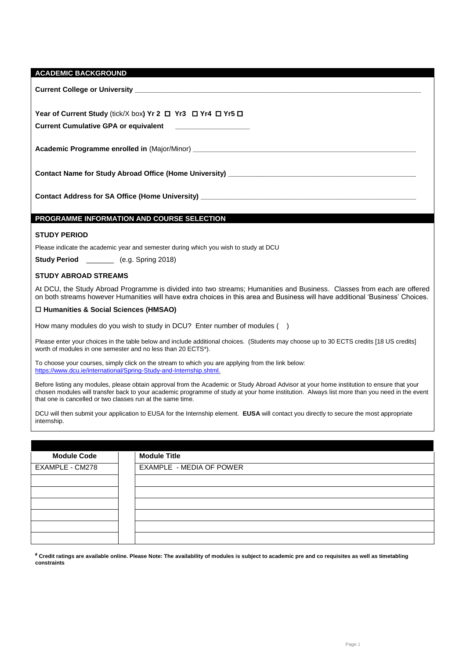| <b>Current Cumulative GPA or equivalent</b>                                                                                                                                                                                                                                                                                                            |  | Year of Current Study (tick/X box) Yr 2 <sup>D</sup> Yr 3 D Yr 4 D Yr 5 D                                                               |  |  |  |
|--------------------------------------------------------------------------------------------------------------------------------------------------------------------------------------------------------------------------------------------------------------------------------------------------------------------------------------------------------|--|-----------------------------------------------------------------------------------------------------------------------------------------|--|--|--|
|                                                                                                                                                                                                                                                                                                                                                        |  |                                                                                                                                         |  |  |  |
|                                                                                                                                                                                                                                                                                                                                                        |  | Contact Name for Study Abroad Office (Home University) _________________________                                                        |  |  |  |
|                                                                                                                                                                                                                                                                                                                                                        |  | Contact Address for SA Office (Home University) ________________________________                                                        |  |  |  |
|                                                                                                                                                                                                                                                                                                                                                        |  | PROGRAMME INFORMATION AND COURSE SELECTION                                                                                              |  |  |  |
| <b>STUDY PERIOD</b>                                                                                                                                                                                                                                                                                                                                    |  |                                                                                                                                         |  |  |  |
|                                                                                                                                                                                                                                                                                                                                                        |  | Please indicate the academic year and semester during which you wish to study at DCU                                                    |  |  |  |
| Study Period __________ (e.g. Spring 2018)                                                                                                                                                                                                                                                                                                             |  |                                                                                                                                         |  |  |  |
| <b>STUDY ABROAD STREAMS</b>                                                                                                                                                                                                                                                                                                                            |  |                                                                                                                                         |  |  |  |
| At DCU, the Study Abroad Programme is divided into two streams; Humanities and Business. Classes from each are offered<br>on both streams however Humanities will have extra choices in this area and Business will have additional 'Business' Choices.                                                                                                |  |                                                                                                                                         |  |  |  |
| □ Humanities & Social Sciences (HMSAO)                                                                                                                                                                                                                                                                                                                 |  |                                                                                                                                         |  |  |  |
|                                                                                                                                                                                                                                                                                                                                                        |  | How many modules do you wish to study in DCU? Enter number of modules ()                                                                |  |  |  |
| Please enter your choices in the table below and include additional choices. (Students may choose up to 30 ECTS credits [18 US credits]<br>worth of modules in one semester and no less than 20 ECTS*).                                                                                                                                                |  |                                                                                                                                         |  |  |  |
| To choose your courses, simply click on the stream to which you are applying from the link below:<br>https://www.dcu.ie/international/Spring-Study-and-Internship.shtml.                                                                                                                                                                               |  |                                                                                                                                         |  |  |  |
| Before listing any modules, please obtain approval from the Academic or Study Abroad Advisor at your home institution to ensure that your<br>chosen modules will transfer back to your academic programme of study at your home institution. Always list more than you need in the event<br>that one is cancelled or two classes run at the same time. |  |                                                                                                                                         |  |  |  |
| internship.                                                                                                                                                                                                                                                                                                                                            |  | DCU will then submit your application to EUSA for the Internship element. EUSA will contact you directly to secure the most appropriate |  |  |  |
|                                                                                                                                                                                                                                                                                                                                                        |  |                                                                                                                                         |  |  |  |
| <b>Module Code</b>                                                                                                                                                                                                                                                                                                                                     |  | <b>Module Title</b>                                                                                                                     |  |  |  |
| FXAMPI F . CM278                                                                                                                                                                                                                                                                                                                                       |  | <b>EXAMPLE - MEDIA OF POWER</b>                                                                                                         |  |  |  |

| EXAMPLE - CM278 | EXAMPLE - MEDIA OF POWER |
|-----------------|--------------------------|
|                 |                          |
|                 |                          |
|                 |                          |
|                 |                          |
|                 |                          |
|                 |                          |

 **Credit ratings are available online. Please Note: The availability of modules is subject to academic pre and co requisites as well as timetabling constraints**